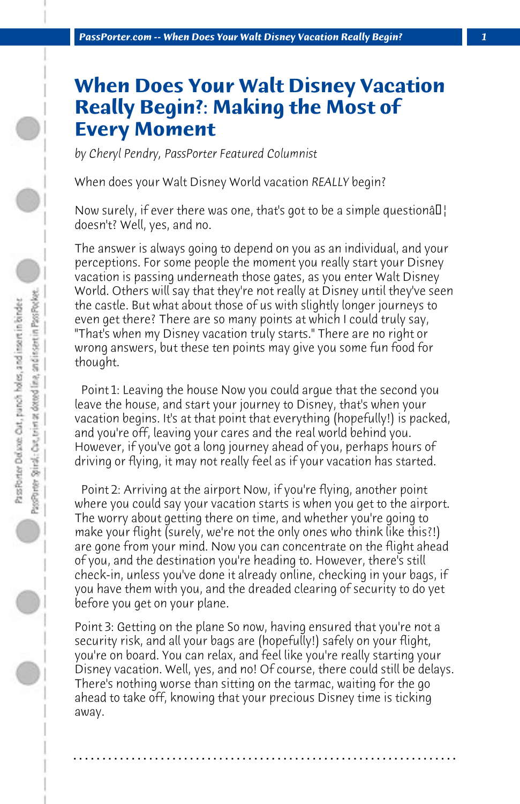## **When Does Your Walt Disney Vacation Really Begin?: Making the Most of Every Moment**

*by Cheryl Pendry, PassPorter Featured Columnist*

When does your Walt Disney World vacation *REALLY* begin?

Now surely, if ever there was one, that's got to be a simple questiona $\epsilon$ doesn't? Well, yes, and no.

The answer is always going to depend on you as an individual, and your perceptions. For some people the moment you really start your Disney vacation is passing underneath those gates, as you enter Walt Disney World. Others will say that they're not really at Disney until they've seen the castle. But what about those of us with slightly longer journeys to even get there? There are so many points at which I could truly say, "That's when my Disney vacation truly starts." There are no right or wrong answers, but these ten points may give you some fun food for thought.

 Point 1: Leaving the house Now you could argue that the second you leave the house, and start your journey to Disney, that's when your vacation begins. It's at that point that everything (hopefully!) is packed, and you're off, leaving your cares and the real world behind you. However, if you've got a long journey ahead of you, perhaps hours of driving or flying, it may not really feel as if your vacation has started.

 Point 2: Arriving at the airport Now, if you're flying, another point where you could say your vacation starts is when you get to the airport. The worry about getting there on time, and whether you're going to make your flight (surely, we're not the only ones who think like this?!) are gone from your mind. Now you can concentrate on the flight ahead of you, and the destination you're heading to. However, there's still check-in, unless you've done it already online, checking in your bags, if you have them with you, and the dreaded clearing of security to do yet before you get on your plane.

Point 3: Getting on the plane So now, having ensured that you're not a security risk, and all your bags are (hopefully!) safely on your flight, you're on board. You can relax, and feel like you're really starting your Disney vacation. Well, yes, and no! Of course, there could still be delays. There's nothing worse than sitting on the tarmac, waiting for the go ahead to take off, knowing that your precious Disney time is ticking away.

**. . . . . . . . . . . . . . . . . . . . . . . . . . . . . . . . . . . . . . . . . . . . . . . . . . . . . . . . . . . . . . . . . .**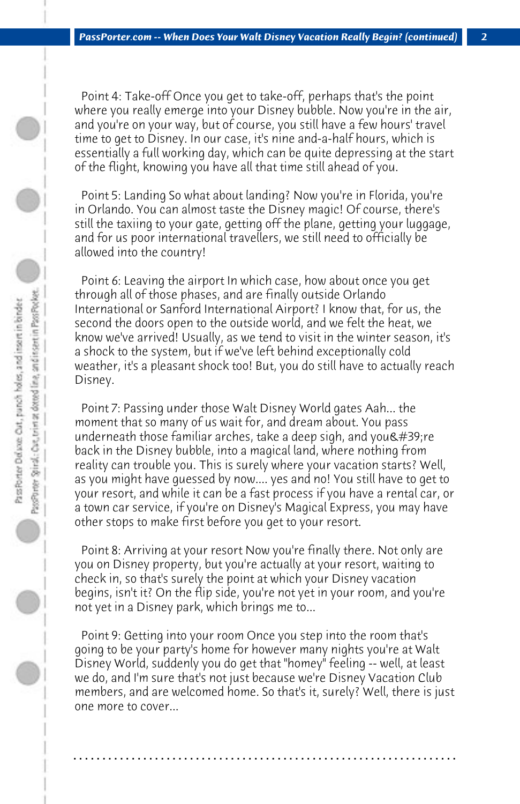Point 4: Take-off Once you get to take-off, perhaps that's the point where you really emerge into your Disney bubble. Now you're in the air, and you're on your way, but of course, you still have a few hours' travel time to get to Disney. In our case, it's nine and-a-half hours, which is essentially a full working day, which can be quite depressing at the start of the flight, knowing you have all that time still ahead of you.

 Point 5: Landing So what about landing? Now you're in Florida, you're in Orlando. You can almost taste the Disney magic! Of course, there's still the taxiing to your gate, getting off the plane, getting your luggage, and for us poor international travellers, we still need to officially be allowed into the country!

 Point 6: Leaving the airport In which case, how about once you get through all of those phases, and are finally outside Orlando International or Sanford International Airport? I know that, for us, the second the doors open to the outside world, and we felt the heat, we know we've arrived! Usually, as we tend to visit in the winter season, it's a shock to the system, but if we've left behind exceptionally cold weather, it's a pleasant shock too! But, you do still have to actually reach Disney.

 Point 7: Passing under those Walt Disney World gates Aah... the moment that so many of us wait for, and dream about. You pass underneath those familiar arches, take a deep sigh, and you  $\&\#39$ ; re back in the Disney bubble, into a magical land, where nothing from reality can trouble you. This is surely where your vacation starts? Well, as you might have guessed by now.... yes and no! You still have to get to your resort, and while it can be a fast process if you have a rental car, or a town car service, if you're on Disney's Magical Express, you may have other stops to make first before you get to your resort.

 Point 8: Arriving at your resort Now you're finally there. Not only are you on Disney property, but you're actually at your resort, waiting to check in, so that's surely the point at which your Disney vacation begins, isn't it? On the flip side, you're not yet in your room, and you're not yet in a Disney park, which brings me to...

 Point 9: Getting into your room Once you step into the room that's going to be your party's home for however many nights you're at Walt Disney World, suddenly you do get that "homey" feeling -- well, at least we do, and I'm sure that's not just because we're Disney Vacation Club members, and are welcomed home. So that's it, surely? Well, there is just one more to cover...

**. . . . . . . . . . . . . . . . . . . . . . . . . . . . . . . . . . . . . . . . . . . . . . . . . . . . . . . . . . . . . . . . . .**